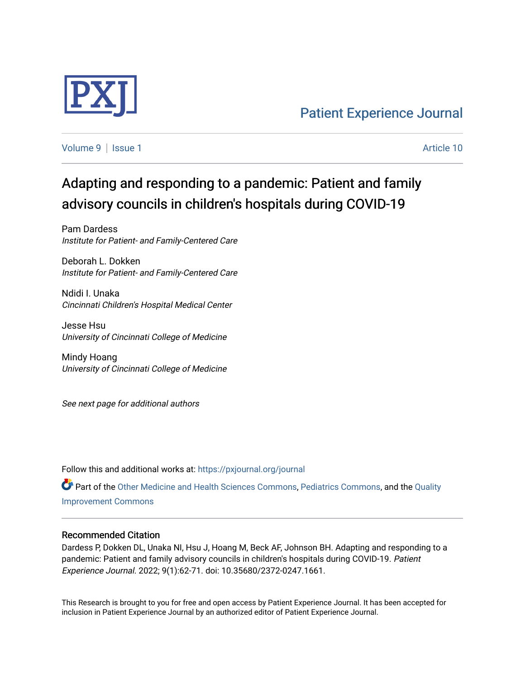

[Patient Experience Journal](https://pxjournal.org/journal) 

[Volume 9](https://pxjournal.org/journal/vol9) | [Issue 1](https://pxjournal.org/journal/vol9/iss1) Article 10

# Adapting and responding to a pandemic: Patient and family advisory councils in children's hospitals during COVID-19

Pam Dardess Institute for Patient- and Family-Centered Care

Deborah L. Dokken Institute for Patient- and Family-Centered Care

Ndidi I. Unaka Cincinnati Children's Hospital Medical Center

Jesse Hsu University of Cincinnati College of Medicine

Mindy Hoang University of Cincinnati College of Medicine

See next page for additional authors

Follow this and additional works at: [https://pxjournal.org/journal](https://pxjournal.org/journal?utm_source=pxjournal.org%2Fjournal%2Fvol9%2Fiss1%2F10&utm_medium=PDF&utm_campaign=PDFCoverPages) 

Part of the [Other Medicine and Health Sciences Commons](http://network.bepress.com/hgg/discipline/772?utm_source=pxjournal.org%2Fjournal%2Fvol9%2Fiss1%2F10&utm_medium=PDF&utm_campaign=PDFCoverPages), [Pediatrics Commons,](http://network.bepress.com/hgg/discipline/700?utm_source=pxjournal.org%2Fjournal%2Fvol9%2Fiss1%2F10&utm_medium=PDF&utm_campaign=PDFCoverPages) and the [Quality](http://network.bepress.com/hgg/discipline/1430?utm_source=pxjournal.org%2Fjournal%2Fvol9%2Fiss1%2F10&utm_medium=PDF&utm_campaign=PDFCoverPages)  [Improvement Commons](http://network.bepress.com/hgg/discipline/1430?utm_source=pxjournal.org%2Fjournal%2Fvol9%2Fiss1%2F10&utm_medium=PDF&utm_campaign=PDFCoverPages) 

#### Recommended Citation

Dardess P, Dokken DL, Unaka NI, Hsu J, Hoang M, Beck AF, Johnson BH. Adapting and responding to a pandemic: Patient and family advisory councils in children's hospitals during COVID-19. Patient Experience Journal. 2022; 9(1):62-71. doi: 10.35680/2372-0247.1661.

This Research is brought to you for free and open access by Patient Experience Journal. It has been accepted for inclusion in Patient Experience Journal by an authorized editor of Patient Experience Journal.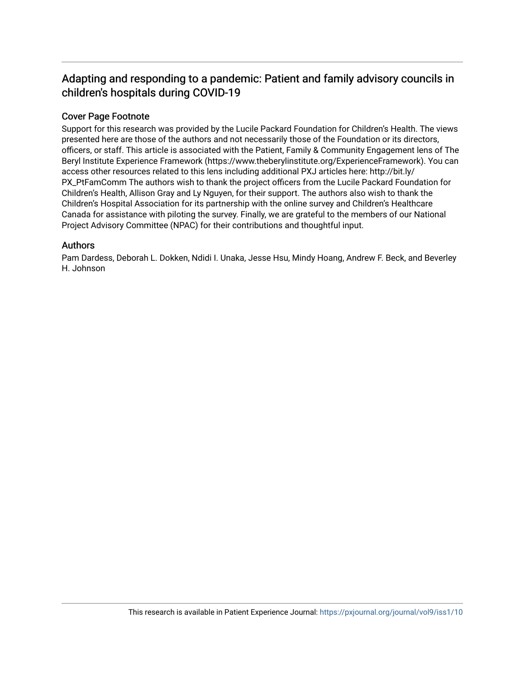# Adapting and responding to a pandemic: Patient and family advisory councils in children's hospitals during COVID-19

# Cover Page Footnote

Support for this research was provided by the Lucile Packard Foundation for Children's Health. The views presented here are those of the authors and not necessarily those of the Foundation or its directors, officers, or staff. This article is associated with the Patient, Family & Community Engagement lens of The Beryl Institute Experience Framework (https://www.theberylinstitute.org/ExperienceFramework). You can access other resources related to this lens including additional PXJ articles here: http://bit.ly/ PX\_PtFamComm The authors wish to thank the project officers from the Lucile Packard Foundation for Children's Health, Allison Gray and Ly Nguyen, for their support. The authors also wish to thank the Children's Hospital Association for its partnership with the online survey and Children's Healthcare Canada for assistance with piloting the survey. Finally, we are grateful to the members of our National Project Advisory Committee (NPAC) for their contributions and thoughtful input.

# Authors

Pam Dardess, Deborah L. Dokken, Ndidi I. Unaka, Jesse Hsu, Mindy Hoang, Andrew F. Beck, and Beverley H. Johnson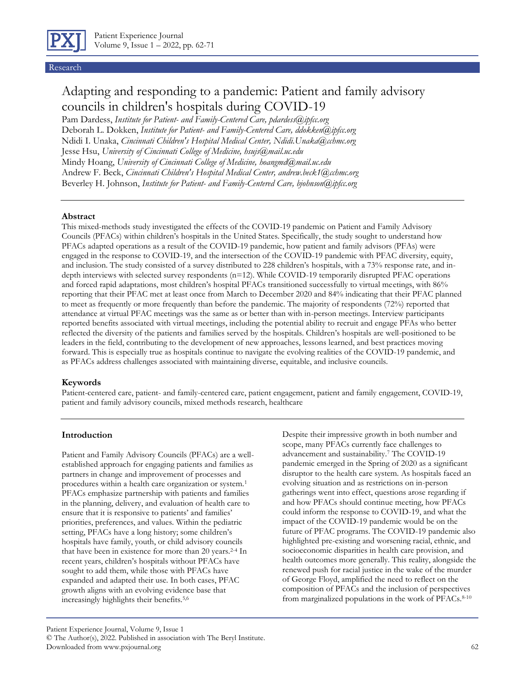

Research

# Adapting and responding to a pandemic: Patient and family advisory councils in children's hospitals during COVID-19

Pam Dardess, *Institute for Patient- and Family-Centered Care, pdardess@ipfcc.org* Deborah L. Dokken, *Institute for Patient- and Family-Centered Care, ddokken@ipfcc.org* Ndidi I. Unaka, *Cincinnati Children's Hospital Medical Center, Ndidi.Unaka@cchmc.org* Jesse Hsu, *University of Cincinnati College of Medicine, hsujs@mail.uc.edu* Mindy Hoang, *University of Cincinnati College of Medicine, hoangmd@mail.uc.edu* Andrew F. Beck, *Cincinnati Children's Hospital Medical Center, andrew.beck1@cchmc.org* Beverley H. Johnson, *Institute for Patient- and Family-Centered Care, bjohnson@ipfcc.org*

#### **Abstract**

This mixed-methods study investigated the effects of the COVID-19 pandemic on Patient and Family Advisory Councils (PFACs) within children's hospitals in the United States. Specifically, the study sought to understand how PFACs adapted operations as a result of the COVID-19 pandemic, how patient and family advisors (PFAs) were engaged in the response to COVID-19, and the intersection of the COVID-19 pandemic with PFAC diversity, equity, and inclusion. The study consisted of a survey distributed to 228 children's hospitals, with a 73% response rate, and indepth interviews with selected survey respondents (n=12). While COVID-19 temporarily disrupted PFAC operations and forced rapid adaptations, most children's hospital PFACs transitioned successfully to virtual meetings, with 86% reporting that their PFAC met at least once from March to December 2020 and 84% indicating that their PFAC planned to meet as frequently or more frequently than before the pandemic. The majority of respondents (72%) reported that attendance at virtual PFAC meetings was the same as or better than with in-person meetings. Interview participants reported benefits associated with virtual meetings, including the potential ability to recruit and engage PFAs who better reflected the diversity of the patients and families served by the hospitals. Children's hospitals are well-positioned to be leaders in the field, contributing to the development of new approaches, lessons learned, and best practices moving forward. This is especially true as hospitals continue to navigate the evolving realities of the COVID-19 pandemic, and as PFACs address challenges associated with maintaining diverse, equitable, and inclusive councils.

#### **Keywords**

Patient-centered care, patient- and family-centered care, patient engagement, patient and family engagement, COVID-19, patient and family advisory councils, mixed methods research, healthcare

#### **Introduction**

Patient and Family Advisory Councils (PFACs) are a wellestablished approach for engaging patients and families as partners in change and improvement of processes and procedures within a health care organization or system.<sup>1</sup> PFACs emphasize partnership with patients and families in the planning, delivery, and evaluation of health care to ensure that it is responsive to patients' and families' priorities, preferences, and values. Within the pediatric setting, PFACs have a long history; some children's hospitals have family, youth, or child advisory councils that have been in existence for more than 20 years.<sup>2-4</sup> In recent years, children's hospitals without PFACs have sought to add them, while those with PFACs have expanded and adapted their use. In both cases, PFAC growth aligns with an evolving evidence base that increasingly highlights their benefits.5,6

Despite their impressive growth in both number and scope, many PFACs currently face challenges to advancement and sustainability.<sup>7</sup> The COVID-19 pandemic emerged in the Spring of 2020 as a significant disruptor to the health care system. As hospitals faced an evolving situation and as restrictions on in-person gatherings went into effect, questions arose regarding if and how PFACs should continue meeting, how PFACs could inform the response to COVID-19, and what the impact of the COVID-19 pandemic would be on the future of PFAC programs. The COVID-19 pandemic also highlighted pre-existing and worsening racial, ethnic, and socioeconomic disparities in health care provision, and health outcomes more generally. This reality, alongside the renewed push for racial justice in the wake of the murder of George Floyd, amplified the need to reflect on the composition of PFACs and the inclusion of perspectives from marginalized populations in the work of PFACs.8-10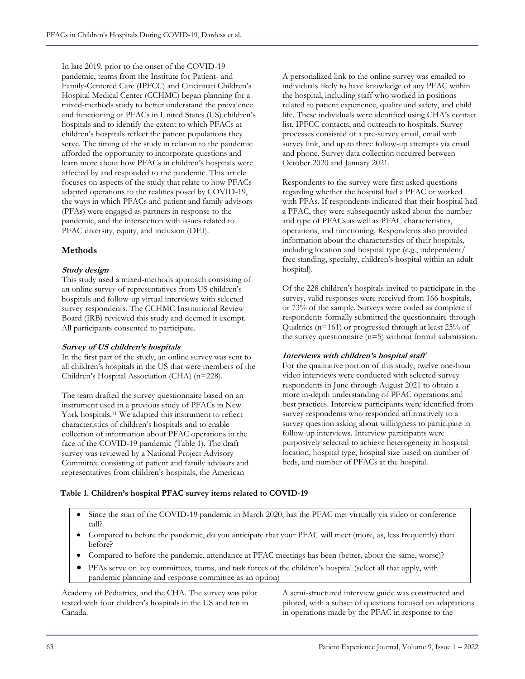In late 2019, prior to the onset of the COVID-19 pandemic, teams from the Institute for Patient- and Family-Centered Care (IPFCC) and Cincinnati Children's Hospital Medical Center (CCHMC) began planning for a mixed-methods study to better understand the prevalence and functioning of PFACs in United States (US) children's hospitals and to identify the extent to which PFACs at children's hospitals reflect the patient populations they serve. The timing of the study in relation to the pandemic afforded the opportunity to incorporate questions and learn more about how PFACs in children's hospitals were affected by and responded to the pandemic. This article focuses on aspects of the study that relate to how PFACs adapted operations to the realities posed by COVID-19, the ways in which PFACs and patient and family advisors (PFAs) were engaged as partners in response to the pandemic, and the intersection with issues related to PFAC diversity, equity, and inclusion (DEI).

## **Methods**

#### **Study design**

This study used a mixed-methods approach consisting of an online survey of representatives from US children's hospitals and follow-up virtual interviews with selected survey respondents. The CCHMC Institutional Review Board (IRB) reviewed this study and deemed it exempt. All participants consented to participate.

#### **Survey of US children's hospitals**

In the first part of the study, an online survey was sent to all children's hospitals in the US that were members of the Children's Hospital Association (CHA) (n=228).

The team drafted the survey questionnaire based on an instrument used in a previous study of PFACs in New York hospitals.<sup>11</sup> We adapted this instrument to reflect characteristics of children's hospitals and to enable collection of information about PFAC operations in the face of the COVID-19 pandemic (Table 1). The draft survey was reviewed by a National Project Advisory Committee consisting of patient and family advisors and representatives from children's hospitals, the American

A personalized link to the online survey was emailed to individuals likely to have knowledge of any PFAC within the hospital, including staff who worked in positions related to patient experience, quality and safety, and child life. These individuals were identified using CHA's contact list, IPFCC contacts, and outreach to hospitals. Survey processes consisted of a pre-survey email, email with survey link, and up to three follow-up attempts via email and phone. Survey data collection occurred between October 2020 and January 2021.

Respondents to the survey were first asked questions regarding whether the hospital had a PFAC or worked with PFAs. If respondents indicated that their hospital had a PFAC, they were subsequently asked about the number and type of PFACs as well as PFAC characteristics, operations, and functioning. Respondents also provided information about the characteristics of their hospitals, including location and hospital type (e.g., independent/ free standing, specialty, children's hospital within an adult hospital).

Of the 228 children's hospitals invited to participate in the survey, valid responses were received from 166 hospitals, or 73% of the sample. Surveys were coded as complete if respondents formally submitted the questionnaire through Qualtrics (n=161) or progressed through at least 25% of the survey questionnaire (n=5) without formal submission.

#### **Interviews with children's hospital staff**

For the qualitative portion of this study, twelve one-hour video interviews were conducted with selected survey respondents in June through August 2021 to obtain a more in-depth understanding of PFAC operations and best practices. Interview participants were identified from survey respondents who responded affirmatively to a survey question asking about willingness to participate in follow-up interviews. Interview participants were purposively selected to achieve heterogeneity in hospital location, hospital type, hospital size based on number of beds, and number of PFACs at the hospital.

#### **Table 1. Children's hospital PFAC survey items related to COVID-19**

- Since the start of the COVID-19 pandemic in March 2020, has the PFAC met virtually via video or conference call?
- Compared to before the pandemic, do you anticipate that your PFAC will meet (more, as, less frequently) than before?
- Compared to before the pandemic, attendance at PFAC meetings has been (better, about the same, worse)?
- PFAs serve on key committees, teams, and task forces of the children's hospital (select all that apply, with pandemic planning and response committee as an option)

Academy of Pediatrics, and the CHA. The survey was pilot tested with four children's hospitals in the US and ten in Canada.

A semi-structured interview guide was constructed and piloted, with a subset of questions focused on adaptations in operations made by the PFAC in response to the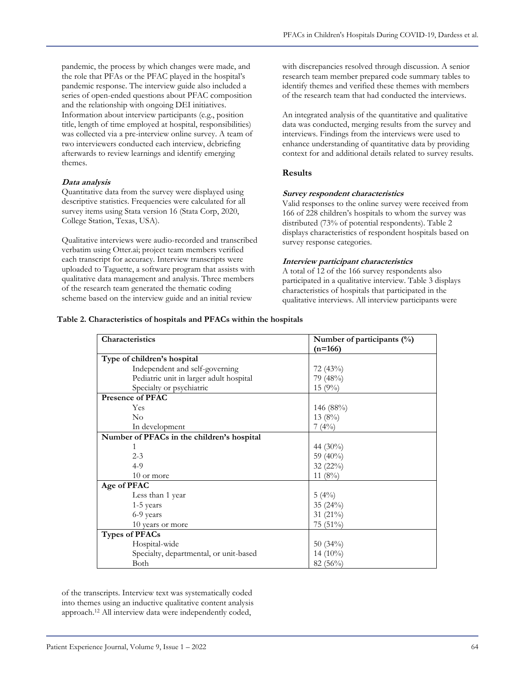pandemic, the process by which changes were made, and the role that PFAs or the PFAC played in the hospital's pandemic response. The interview guide also included a series of open-ended questions about PFAC composition and the relationship with ongoing DEI initiatives. Information about interview participants (e.g., position title, length of time employed at hospital, responsibilities) was collected via a pre-interview online survey. A team of two interviewers conducted each interview, debriefing afterwards to review learnings and identify emerging themes.

#### **Data analysis**

Quantitative data from the survey were displayed using descriptive statistics. Frequencies were calculated for all survey items using Stata version 16 (Stata Corp, 2020, College Station, Texas, USA).

Qualitative interviews were audio-recorded and transcribed verbatim using Otter.ai; project team members verified each transcript for accuracy. Interview transcripts were uploaded to Taguette, a software program that assists with qualitative data management and analysis. Three members of the research team generated the thematic coding scheme based on the interview guide and an initial review

with discrepancies resolved through discussion. A senior research team member prepared code summary tables to identify themes and verified these themes with members of the research team that had conducted the interviews.

An integrated analysis of the quantitative and qualitative data was conducted, merging results from the survey and interviews. Findings from the interviews were used to enhance understanding of quantitative data by providing context for and additional details related to survey results.

#### **Results**

#### **Survey respondent characteristics**

Valid responses to the online survey were received from 166 of 228 children's hospitals to whom the survey was distributed (73% of potential respondents). Table 2 displays characteristics of respondent hospitals based on survey response categories.

#### **Interview participant characteristics**

A total of 12 of the 166 survey respondents also participated in a qualitative interview. Table 3 displays characteristics of hospitals that participated in the qualitative interviews. All interview participants were

#### **Table 2. Characteristics of hospitals and PFACs within the hospitals**

| Characteristics                            | Number of participants (%) |  |
|--------------------------------------------|----------------------------|--|
|                                            | $(n=166)$                  |  |
| Type of children's hospital                |                            |  |
| Independent and self-governing             | 72(43%)                    |  |
| Pediatric unit in larger adult hospital    | 79 (48%)                   |  |
| Specialty or psychiatric                   | 15(9%)                     |  |
| <b>Presence of PFAC</b>                    |                            |  |
| Yes                                        | 146 (88%)                  |  |
| $\rm No$                                   | 13(8%)                     |  |
| In development                             | 7(4%)                      |  |
| Number of PFACs in the children's hospital |                            |  |
|                                            | 44 (30%)                   |  |
| $2 - 3$                                    | 59 (40%)                   |  |
| $4-9$                                      | 32 (22%)                   |  |
| 10 or more                                 | 11 $(8\%)$                 |  |
| Age of PFAC                                |                            |  |
| Less than 1 year                           | $5(4\%)$                   |  |
| $1-5$ years                                | 35 (24%)                   |  |
| 6-9 years                                  | 31 (21%)                   |  |
| 10 years or more                           | $75(51\%)$                 |  |
| <b>Types of PFACs</b>                      |                            |  |
| Hospital-wide                              | $50(34\%)$                 |  |
| Specialty, departmental, or unit-based     | $14(10\%)$                 |  |
| Both                                       | 82 (56%)                   |  |

of the transcripts. Interview text was systematically coded into themes using an inductive qualitative content analysis approach.<sup>12</sup> All interview data were independently coded,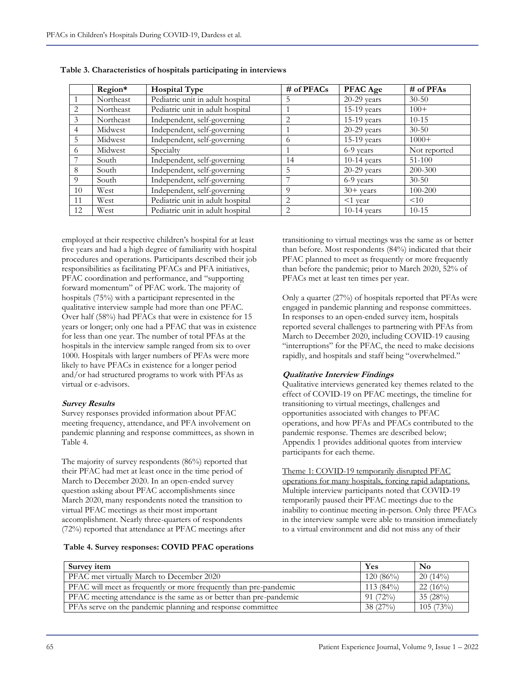|                | Region*   | <b>Hospital Type</b>             | # of PFACs     | <b>PFAC Age</b> | $#$ of PFAs  |
|----------------|-----------|----------------------------------|----------------|-----------------|--------------|
|                | Northeast | Pediatric unit in adult hospital |                | $20-29$ years   | $30 - 50$    |
| $\mathfrak{D}$ | Northeast | Pediatric unit in adult hospital |                | $15-19$ years   | $100+$       |
| 3              | Northeast | Independent, self-governing      |                | $15-19$ years   | $10 - 15$    |
| 4              | Midwest   | Independent, self-governing      |                | $20-29$ years   | $30 - 50$    |
| 5              | Midwest   | Independent, self-governing      | 6              | $15-19$ years   | $1000+$      |
| 6              | Midwest   | Specialty                        |                | 6-9 years       | Not reported |
|                | South     | Independent, self-governing      | 14             | $10-14$ years   | 51-100       |
| 8              | South     | Independent, self-governing      | 5              | $20-29$ years   | 200-300      |
| $\Omega$       | South     | Independent, self-governing      |                | 6-9 years       | $30 - 50$    |
| 10             | West      | Independent, self-governing      | $\Omega$       | $30+$ years     | 100-200      |
| 11             | West      | Pediatric unit in adult hospital | 2              | $\leq$ 1 year   | <10          |
| 12             | West      | Pediatric unit in adult hospital | $\mathfrak{D}$ | $10-14$ years   | $10 - 15$    |

**Table 3. Characteristics of hospitals participating in interviews** 

employed at their respective children's hospital for at least five years and had a high degree of familiarity with hospital procedures and operations. Participants described their job responsibilities as facilitating PFACs and PFA initiatives, PFAC coordination and performance, and "supporting forward momentum" of PFAC work. The majority of hospitals (75%) with a participant represented in the qualitative interview sample had more than one PFAC. Over half (58%) had PFACs that were in existence for 15 years or longer; only one had a PFAC that was in existence for less than one year. The number of total PFAs at the hospitals in the interview sample ranged from six to over 1000. Hospitals with larger numbers of PFAs were more likely to have PFACs in existence for a longer period and/or had structured programs to work with PFAs as virtual or e-advisors.

#### **Survey Results**

Survey responses provided information about PFAC meeting frequency, attendance, and PFA involvement on pandemic planning and response committees, as shown in Table 4.

The majority of survey respondents (86%) reported that their PFAC had met at least once in the time period of March to December 2020. In an open-ended survey question asking about PFAC accomplishments since March 2020, many respondents noted the transition to virtual PFAC meetings as their most important accomplishment. Nearly three-quarters of respondents (72%) reported that attendance at PFAC meetings after

**Table 4. Survey responses: COVID PFAC operations** 

transitioning to virtual meetings was the same as or better than before. Most respondents (84%) indicated that their PFAC planned to meet as frequently or more frequently than before the pandemic; prior to March 2020, 52% of PFACs met at least ten times per year.

Only a quarter (27%) of hospitals reported that PFAs were engaged in pandemic planning and response committees. In responses to an open-ended survey item, hospitals reported several challenges to partnering with PFAs from March to December 2020, including COVID-19 causing "interruptions" for the PFAC, the need to make decisions rapidly, and hospitals and staff being "overwhelmed."

#### **Qualitative Interview Findings**

Qualitative interviews generated key themes related to the effect of COVID-19 on PFAC meetings, the timeline for transitioning to virtual meetings, challenges and opportunities associated with changes to PFAC operations, and how PFAs and PFACs contributed to the pandemic response. Themes are described below; Appendix 1 provides additional quotes from interview participants for each theme.

Theme 1: COVID-19 temporarily disrupted PFAC operations for many hospitals, forcing rapid adaptations. Multiple interview participants noted that COVID-19 temporarily paused their PFAC meetings due to the inability to continue meeting in-person. Only three PFACs in the interview sample were able to transition immediately to a virtual environment and did not miss any of their

| Survey item                                                        | Yes         | No          |
|--------------------------------------------------------------------|-------------|-------------|
| PFAC met virtually March to December 2020                          | $120(86\%)$ | $20(14\%)$  |
| PFAC will meet as frequently or more frequently than pre-pandemic  | $113(84\%)$ | $22(16\%)$  |
| PFAC meeting attendance is the same as or better than pre-pandemic | $91(72\%)$  | 35(28%)     |
| PFAs serve on the pandemic planning and response committee         | 38(27%)     | $105(73\%)$ |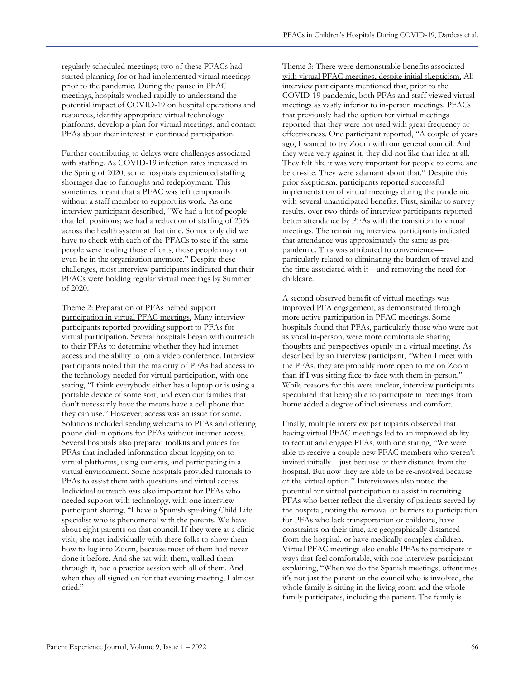regularly scheduled meetings; two of these PFACs had started planning for or had implemented virtual meetings prior to the pandemic. During the pause in PFAC meetings, hospitals worked rapidly to understand the potential impact of COVID-19 on hospital operations and resources, identify appropriate virtual technology platforms, develop a plan for virtual meetings, and contact PFAs about their interest in continued participation.

Further contributing to delays were challenges associated with staffing. As COVID-19 infection rates increased in the Spring of 2020, some hospitals experienced staffing shortages due to furloughs and redeployment. This sometimes meant that a PFAC was left temporarily without a staff member to support its work. As one interview participant described, "We had a lot of people that left positions; we had a reduction of staffing of 25% across the health system at that time. So not only did we have to check with each of the PFACs to see if the same people were leading those efforts, those people may not even be in the organization anymore." Despite these challenges, most interview participants indicated that their PFACs were holding regular virtual meetings by Summer of 2020.

Theme 2: Preparation of PFAs helped support participation in virtual PFAC meetings. Many interview participants reported providing support to PFAs for virtual participation. Several hospitals began with outreach to their PFAs to determine whether they had internet access and the ability to join a video conference. Interview participants noted that the majority of PFAs had access to the technology needed for virtual participation, with one stating, "I think everybody either has a laptop or is using a portable device of some sort, and even our families that don't necessarily have the means have a cell phone that they can use." However, access was an issue for some. Solutions included sending webcams to PFAs and offering phone dial-in options for PFAs without internet access. Several hospitals also prepared toolkits and guides for PFAs that included information about logging on to virtual platforms, using cameras, and participating in a virtual environment. Some hospitals provided tutorials to PFAs to assist them with questions and virtual access. Individual outreach was also important for PFAs who needed support with technology, with one interview participant sharing, "I have a Spanish-speaking Child Life specialist who is phenomenal with the parents. We have about eight parents on that council. If they were at a clinic visit, she met individually with these folks to show them how to log into Zoom, because most of them had never done it before. And she sat with them, walked them through it, had a practice session with all of them. And when they all signed on for that evening meeting, I almost cried."

Theme 3: There were demonstrable benefits associated with virtual PFAC meetings, despite initial skepticism. All interview participants mentioned that, prior to the COVID-19 pandemic, both PFAs and staff viewed virtual meetings as vastly inferior to in-person meetings. PFACs that previously had the option for virtual meetings reported that they were not used with great frequency or effectiveness. One participant reported, "A couple of years ago, I wanted to try Zoom with our general council. And they were very against it, they did not like that idea at all. They felt like it was very important for people to come and be on-site. They were adamant about that." Despite this prior skepticism, participants reported successful implementation of virtual meetings during the pandemic with several unanticipated benefits. First, similar to survey results, over two-thirds of interview participants reported better attendance by PFAs with the transition to virtual meetings. The remaining interview participants indicated that attendance was approximately the same as prepandemic. This was attributed to convenience particularly related to eliminating the burden of travel and the time associated with it—and removing the need for childcare.

A second observed benefit of virtual meetings was improved PFA engagement, as demonstrated through more active participation in PFAC meetings. Some hospitals found that PFAs, particularly those who were not as vocal in-person, were more comfortable sharing thoughts and perspectives openly in a virtual meeting. As described by an interview participant, "When I meet with the PFAs, they are probably more open to me on Zoom than if I was sitting face-to-face with them in-person." While reasons for this were unclear, interview participants speculated that being able to participate in meetings from home added a degree of inclusiveness and comfort.

Finally, multiple interview participants observed that having virtual PFAC meetings led to an improved ability to recruit and engage PFAs, with one stating, "We were able to receive a couple new PFAC members who weren't invited initially…just because of their distance from the hospital. But now they are able to be re-involved because of the virtual option." Interviewees also noted the potential for virtual participation to assist in recruiting PFAs who better reflect the diversity of patients served by the hospital, noting the removal of barriers to participation for PFAs who lack transportation or childcare, have constraints on their time, are geographically distanced from the hospital, or have medically complex children. Virtual PFAC meetings also enable PFAs to participate in ways that feel comfortable, with one interview participant explaining, "When we do the Spanish meetings, oftentimes it's not just the parent on the council who is involved, the whole family is sitting in the living room and the whole family participates, including the patient. The family is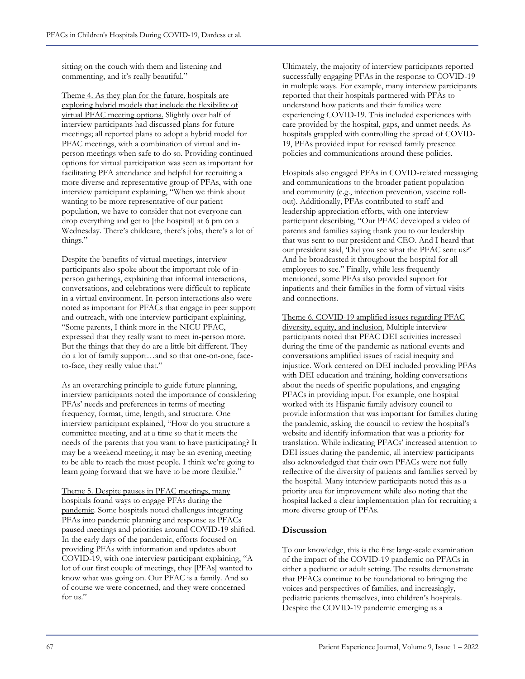sitting on the couch with them and listening and commenting, and it's really beautiful."

Theme 4. As they plan for the future, hospitals are exploring hybrid models that include the flexibility of virtual PFAC meeting options. Slightly over half of interview participants had discussed plans for future meetings; all reported plans to adopt a hybrid model for PFAC meetings, with a combination of virtual and inperson meetings when safe to do so. Providing continued options for virtual participation was seen as important for facilitating PFA attendance and helpful for recruiting a more diverse and representative group of PFAs, with one interview participant explaining, "When we think about wanting to be more representative of our patient population, we have to consider that not everyone can drop everything and get to [the hospital] at 6 pm on a Wednesday. There's childcare, there's jobs, there's a lot of things."

Despite the benefits of virtual meetings, interview participants also spoke about the important role of inperson gatherings, explaining that informal interactions, conversations, and celebrations were difficult to replicate in a virtual environment. In-person interactions also were noted as important for PFACs that engage in peer support and outreach, with one interview participant explaining, "Some parents, I think more in the NICU PFAC, expressed that they really want to meet in-person more. But the things that they do are a little bit different. They do a lot of family support…and so that one-on-one, faceto-face, they really value that."

As an overarching principle to guide future planning, interview participants noted the importance of considering PFAs' needs and preferences in terms of meeting frequency, format, time, length, and structure. One interview participant explained, "How do you structure a committee meeting, and at a time so that it meets the needs of the parents that you want to have participating? It may be a weekend meeting; it may be an evening meeting to be able to reach the most people. I think we're going to learn going forward that we have to be more flexible."

Theme 5. Despite pauses in PFAC meetings, many hospitals found ways to engage PFAs during the pandemic. Some hospitals noted challenges integrating PFAs into pandemic planning and response as PFACs paused meetings and priorities around COVID-19 shifted. In the early days of the pandemic, efforts focused on providing PFAs with information and updates about COVID-19, with one interview participant explaining, "A lot of our first couple of meetings, they [PFAs] wanted to know what was going on. Our PFAC is a family. And so of course we were concerned, and they were concerned for us."

Ultimately, the majority of interview participants reported successfully engaging PFAs in the response to COVID-19 in multiple ways. For example, many interview participants reported that their hospitals partnered with PFAs to understand how patients and their families were experiencing COVID-19. This included experiences with care provided by the hospital, gaps, and unmet needs. As hospitals grappled with controlling the spread of COVID-19, PFAs provided input for revised family presence policies and communications around these policies.

Hospitals also engaged PFAs in COVID-related messaging and communications to the broader patient population and community (e.g., infection prevention, vaccine rollout). Additionally, PFAs contributed to staff and leadership appreciation efforts, with one interview participant describing, "Our PFAC developed a video of parents and families saying thank you to our leadership that was sent to our president and CEO. And I heard that our president said, 'Did you see what the PFAC sent us?' And he broadcasted it throughout the hospital for all employees to see." Finally, while less frequently mentioned, some PFAs also provided support for inpatients and their families in the form of virtual visits and connections.

Theme 6. COVID-19 amplified issues regarding PFAC diversity, equity, and inclusion. Multiple interview participants noted that PFAC DEI activities increased during the time of the pandemic as national events and conversations amplified issues of racial inequity and injustice. Work centered on DEI included providing PFAs with DEI education and training, holding conversations about the needs of specific populations, and engaging PFACs in providing input. For example, one hospital worked with its Hispanic family advisory council to provide information that was important for families during the pandemic, asking the council to review the hospital's website and identify information that was a priority for translation. While indicating PFACs' increased attention to DEI issues during the pandemic, all interview participants also acknowledged that their own PFACs were not fully reflective of the diversity of patients and families served by the hospital. Many interview participants noted this as a priority area for improvement while also noting that the hospital lacked a clear implementation plan for recruiting a more diverse group of PFAs.

#### **Discussion**

To our knowledge, this is the first large-scale examination of the impact of the COVID-19 pandemic on PFACs in either a pediatric or adult setting. The results demonstrate that PFACs continue to be foundational to bringing the voices and perspectives of families, and increasingly, pediatric patients themselves, into children's hospitals. Despite the COVID-19 pandemic emerging as a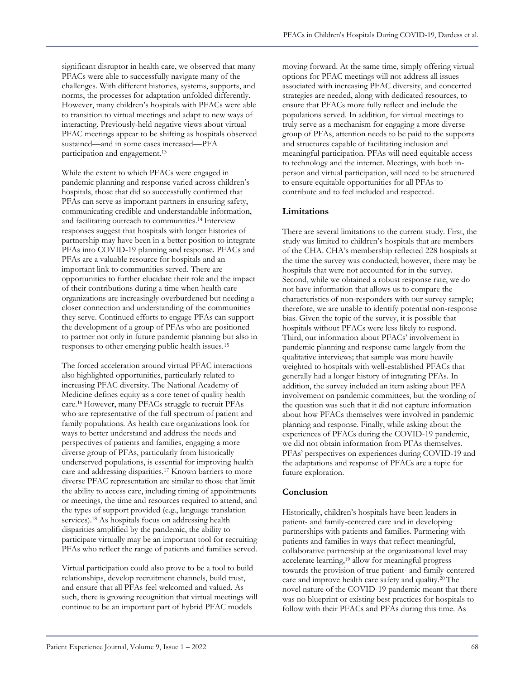significant disruptor in health care, we observed that many PFACs were able to successfully navigate many of the challenges. With different histories, systems, supports, and norms, the processes for adaptation unfolded differently. However, many children's hospitals with PFACs were able to transition to virtual meetings and adapt to new ways of interacting. Previously-held negative views about virtual PFAC meetings appear to be shifting as hospitals observed sustained—and in some cases increased—PFA participation and engagement.<sup>13</sup>

While the extent to which PFACs were engaged in pandemic planning and response varied across children's hospitals, those that did so successfully confirmed that PFAs can serve as important partners in ensuring safety, communicating credible and understandable information, and facilitating outreach to communities.14 Interview responses suggest that hospitals with longer histories of partnership may have been in a better position to integrate PFAs into COVID-19 planning and response. PFACs and PFAs are a valuable resource for hospitals and an important link to communities served. There are opportunities to further elucidate their role and the impact of their contributions during a time when health care organizations are increasingly overburdened but needing a closer connection and understanding of the communities they serve. Continued efforts to engage PFAs can support the development of a group of PFAs who are positioned to partner not only in future pandemic planning but also in responses to other emerging public health issues.<sup>15</sup>

The forced acceleration around virtual PFAC interactions also highlighted opportunities, particularly related to increasing PFAC diversity. The National Academy of Medicine defines equity as a core tenet of quality health care.16 However, many PFACs struggle to recruit PFAs who are representative of the full spectrum of patient and family populations. As health care organizations look for ways to better understand and address the needs and perspectives of patients and families, engaging a more diverse group of PFAs, particularly from historically underserved populations, is essential for improving health care and addressing disparities.<sup>17</sup> Known barriers to more diverse PFAC representation are similar to those that limit the ability to access care, including timing of appointments or meetings, the time and resources required to attend, and the types of support provided (e.g., language translation services).<sup>18</sup> As hospitals focus on addressing health disparities amplified by the pandemic, the ability to participate virtually may be an important tool for recruiting PFAs who reflect the range of patients and families served.

Virtual participation could also prove to be a tool to build relationships, develop recruitment channels, build trust, and ensure that all PFAs feel welcomed and valued. As such, there is growing recognition that virtual meetings will continue to be an important part of hybrid PFAC models

moving forward. At the same time, simply offering virtual options for PFAC meetings will not address all issues associated with increasing PFAC diversity, and concerted strategies are needed, along with dedicated resources, to ensure that PFACs more fully reflect and include the populations served. In addition, for virtual meetings to truly serve as a mechanism for engaging a more diverse group of PFAs, attention needs to be paid to the supports and structures capable of facilitating inclusion and meaningful participation. PFAs will need equitable access to technology and the internet. Meetings, with both inperson and virtual participation, will need to be structured to ensure equitable opportunities for all PFAs to contribute and to feel included and respected.

## **Limitations**

There are several limitations to the current study. First, the study was limited to children's hospitals that are members of the CHA. CHA's membership reflected 228 hospitals at the time the survey was conducted; however, there may be hospitals that were not accounted for in the survey. Second, while we obtained a robust response rate, we do not have information that allows us to compare the characteristics of non-responders with our survey sample; therefore, we are unable to identify potential non-response bias. Given the topic of the survey, it is possible that hospitals without PFACs were less likely to respond. Third, our information about PFACs' involvement in pandemic planning and response came largely from the qualitative interviews; that sample was more heavily weighted to hospitals with well-established PFACs that generally had a longer history of integrating PFAs. In addition, the survey included an item asking about PFA involvement on pandemic committees, but the wording of the question was such that it did not capture information about how PFACs themselves were involved in pandemic planning and response. Finally, while asking about the experiences of PFACs during the COVID-19 pandemic, we did not obtain information from PFAs themselves. PFAs' perspectives on experiences during COVID-19 and the adaptations and response of PFACs are a topic for future exploration.

#### **Conclusion**

Historically, children's hospitals have been leaders in patient- and family-centered care and in developing partnerships with patients and families. Partnering with patients and families in ways that reflect meaningful, collaborative partnership at the organizational level may accelerate learning,<sup>19</sup> allow for meaningful progress towards the provision of true patient- and family-centered care and improve health care safety and quality.20 The novel nature of the COVID-19 pandemic meant that there was no blueprint or existing best practices for hospitals to follow with their PFACs and PFAs during this time. As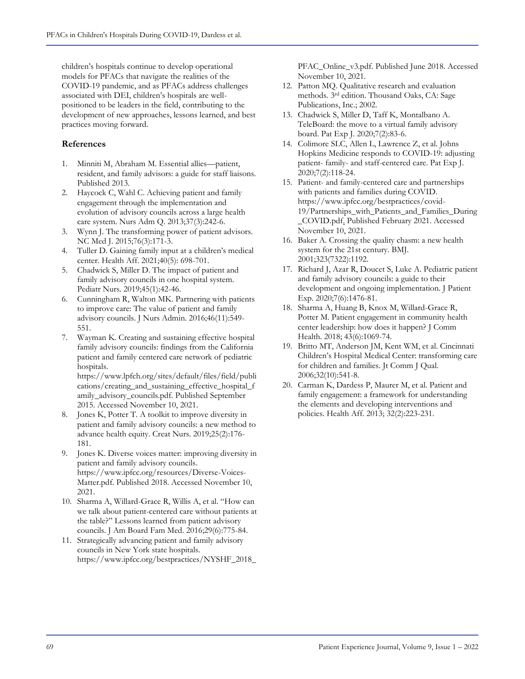children's hospitals continue to develop operational models for PFACs that navigate the realities of the COVID-19 pandemic, and as PFACs address challenges associated with DEI, children's hospitals are wellpositioned to be leaders in the field, contributing to the development of new approaches, lessons learned, and best practices moving forward.

## **References**

- 1. Minniti M, Abraham M. Essential allies—patient, resident, and family advisors: a guide for staff liaisons. Published 2013.
- 2. Haycock C, Wahl C. Achieving patient and family engagement through the implementation and evolution of advisory councils across a large health care system. Nurs Adm Q. 2013;37(3):242-6.
- 3. Wynn J. The transforming power of patient advisors. NC Med J. 2015;76(3):171-3.
- 4. Tuller D. Gaining family input at a children's medical center. Health Aff. 2021;40(5): 698-701.
- 5. Chadwick S, Miller D. The impact of patient and family advisory councils in one hospital system. Pediatr Nurs. 2019;45(1):42-46.
- 6. Cunningham R, Walton MK. Partnering with patients to improve care: The value of patient and family advisory councils. J Nurs Admin. 2016;46(11):549- 551.
- 7. Wayman K. Creating and sustaining effective hospital family advisory councils: findings from the California patient and family centered care network of pediatric hospitals.

https://www.lpfch.org/sites/default/files/field/publi cations/creating\_and\_sustaining\_effective\_hospital\_f amily\_advisory\_councils.pdf. Published September 2015. Accessed November 10, 2021.

- 8. Jones K, Potter T. A toolkit to improve diversity in patient and family advisory councils: a new method to advance health equity. Creat Nurs. 2019;25(2):176- 181.
- 9. Jones K. Diverse voices matter: improving diversity in patient and family advisory councils. https://www.ipfcc.org/resources/Diverse-Voices-Matter.pdf. Published 2018. Accessed November 10, 2021.
- 10. Sharma A, Willard-Grace R, Willis A, et al. "How can we talk about patient-centered care without patients at the table?" Lessons learned from patient advisory councils. J Am Board Fam Med. 2016;29(6):775-84.
- 11. Strategically advancing patient and family advisory councils in New York state hospitals. https://www.ipfcc.org/bestpractices/NYSHF\_2018\_

PFAC\_Online\_v3.pdf. Published June 2018. Accessed November 10, 2021.

- 12. Patton MQ. Qualitative research and evaluation methods. 3rd edition. Thousand Oaks, CA: Sage Publications, Inc.; 2002.
- 13. Chadwick S, Miller D, Taff K, Montalbano A. TeleBoard: the move to a virtual family advisory board. Pat Exp J. 2020;7(2):83-6.
- 14. Colimore SLC, Allen L, Lawrence Z, et al. Johns Hopkins Medicine responds to COVID-19: adjusting patient- family- and staff-centered care. Pat Exp J. 2020;7(2):118-24.
- 15. Patient- and family-centered care and partnerships with patients and families during COVID. https://www.ipfcc.org/bestpractices/covid-19/Partnerships\_with\_Patients\_and\_Families\_During \_COVID.pdf. Published February 2021. Accessed November 10, 2021.
- 16. Baker A. Crossing the quality chasm: a new health system for the 21st century. BMJ. 2001;323(7322):1192.
- 17. Richard J, Azar R, Doucet S, Luke A. Pediatric patient and family advisory councils: a guide to their development and ongoing implementation. J Patient Exp. 2020;7(6):1476-81.
- 18. Sharma A, Huang B, Knox M, Willard-Grace R, Potter M. Patient engagement in community health center leadership: how does it happen? J Comm Health. 2018; 43(6):1069-74.
- 19. Britto MT, Anderson JM, Kent WM, et al. Cincinnati Children's Hospital Medical Center: transforming care for children and families. Jt Comm J Qual. 2006;32(10):541-8.
- 20. Carman K, Dardess P, Maurer M, et al. Patient and family engagement: a framework for understanding the elements and developing interventions and policies. Health Aff. 2013; 32(2):223-231.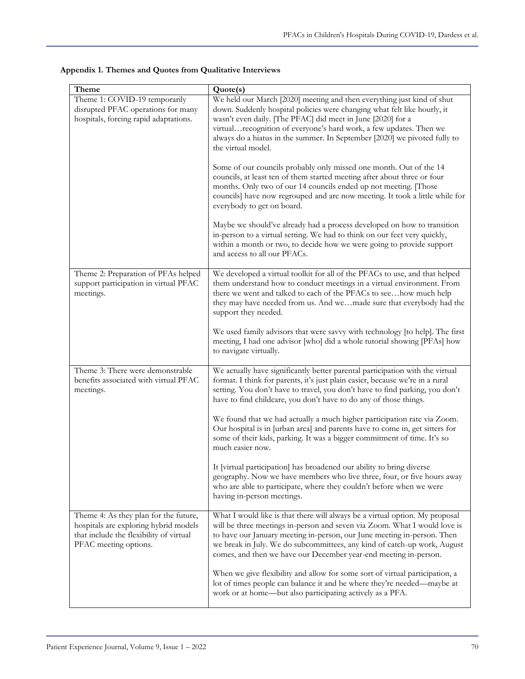| Theme                                                                                                                                              | Quote(s)                                                                                                                                                                                                                                                                                                                                                                                    |
|----------------------------------------------------------------------------------------------------------------------------------------------------|---------------------------------------------------------------------------------------------------------------------------------------------------------------------------------------------------------------------------------------------------------------------------------------------------------------------------------------------------------------------------------------------|
| Theme 1: COVID-19 temporarily<br>disrupted PFAC operations for many<br>hospitals, forcing rapid adaptations.                                       | We held our March [2020] meeting and then everything just kind of shut<br>down. Suddenly hospital policies were changing what felt like hourly, it<br>wasn't even daily. [The PFAC] did meet in June [2020] for a<br>virtual recognition of everyone's hard work, a few updates. Then we<br>always do a hiatus in the summer. In September [2020] we pivoted fully to<br>the virtual model. |
|                                                                                                                                                    | Some of our councils probably only missed one month. Out of the 14<br>councils, at least ten of them started meeting after about three or four<br>months. Only two of our 14 councils ended up not meeting. [Those<br>councils] have now regrouped and are now meeting. It took a little while for<br>everybody to get on board.                                                            |
|                                                                                                                                                    | Maybe we should've already had a process developed on how to transition<br>in-person to a virtual setting. We had to think on our feet very quickly,<br>within a month or two, to decide how we were going to provide support<br>and access to all our PFACs.                                                                                                                               |
| Theme 2: Preparation of PFAs helped<br>support participation in virtual PFAC<br>meetings.                                                          | We developed a virtual toolkit for all of the PFACs to use, and that helped<br>them understand how to conduct meetings in a virtual environment. From<br>there we went and talked to each of the PFACs to seehow much help<br>they may have needed from us. And wemade sure that everybody had the<br>support they needed.                                                                  |
|                                                                                                                                                    | We used family advisors that were savvy with technology [to help]. The first<br>meeting, I had one advisor [who] did a whole tutorial showing [PFAs] how<br>to navigate virtually.                                                                                                                                                                                                          |
| Theme 3: There were demonstrable<br>benefits associated with virtual PFAC<br>meetings.                                                             | We actually have significantly better parental participation with the virtual<br>format. I think for parents, it's just plain easier, because we're in a rural<br>setting. You don't have to travel, you don't have to find parking, you don't<br>have to find childcare, you don't have to do any of those things.                                                                         |
|                                                                                                                                                    | We found that we had actually a much higher participation rate via Zoom.<br>Our hospital is in [urban area] and parents have to come in, get sitters for<br>some of their kids, parking. It was a bigger commitment of time. It's so<br>much easier now.                                                                                                                                    |
|                                                                                                                                                    | It [virtual participation] has broadened our ability to bring diverse<br>geography. Now we have members who live three, four, or five hours away<br>who are able to participate, where they couldn't before when we were<br>having in-person meetings.                                                                                                                                      |
| Theme 4: As they plan for the future,<br>hospitals are exploring hybrid models<br>that include the flexibility of virtual<br>PFAC meeting options. | What I would like is that there will always be a virtual option. My proposal<br>will be three meetings in-person and seven via Zoom. What I would love is<br>to have our January meeting in-person, our June meeting in-person. Then<br>we break in July. We do subcommittees, any kind of catch-up work, August<br>comes, and then we have our December year-end meeting in-person.        |
|                                                                                                                                                    | When we give flexibility and allow for some sort of virtual participation, a<br>lot of times people can balance it and be where they're needed—maybe at<br>work or at home—but also participating actively as a PFA.                                                                                                                                                                        |

**Appendix 1. Themes and Quotes from Qualitative Interviews**